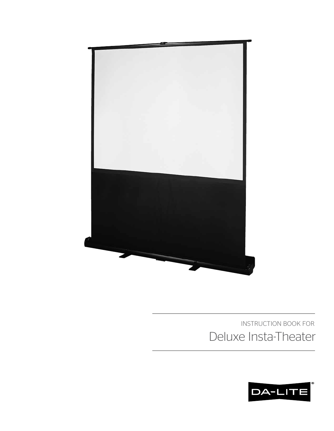

# INSTRUCTION BOOK FOR Deluxe Insta-Theater

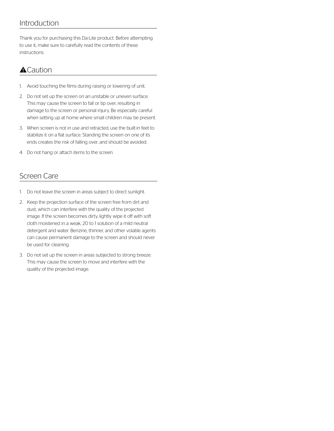### Introduction

Thank you for purchasing this Da-Lite product. Before attempting to use it, make sure to carefully read the contents of these instructions.

### $\triangle$ Caution

- 1. Avoid touching the films during raising or lowering of unit.
- 2. Do not set up the screen on an unstable or uneven surface. This may cause the screen to fall or tip over, resulting in damage to the screen or personal injury. Be especially careful when setting up at home where small children may be present.
- 3. When screen is not in use and retracted, use the built-in feet to stabilize it on a flat surface. Standing the screen on one of its ends creates the risk of falling over, and should be avoided.
- 4. Do not hang or attach items to the screen.

### Screen Care

- 1. Do not leave the screen in areas subject to direct sunlight.
- 2. Keep the projection surface of the screen free from dirt and dust, which can interfere with the quality of the projected image. If the screen becomes dirty, lightly wipe it off with soft cloth moistened in a weak, 20 to 1 solution of a mild neutral detergent and water. Benzine, thinner, and other volatile agents can cause permanent damage to the screen and should never be used for cleaning.
- 3. Do not set up the screen in areas subjected to strong breeze. This may cause the screen to move and interfere with the quality of the projected image.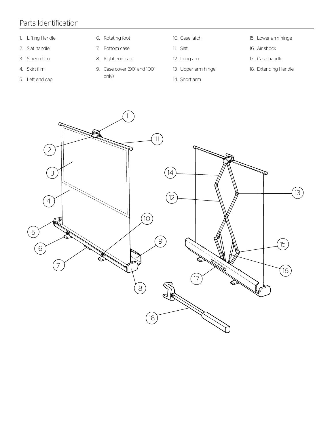## Parts Identification

- 1. Lifting Handle
- 2. Slat handle
- 3. Screen film
- 4. Skirt film
- 5. Left end cap
- 6. Rotating foot
- 7. Bottom case
- 8. Right end cap
- 9. Case cover (90" and 100"
- only)
- 10. Case latch
- 11. Slat
- 12. Long arm
- 13. Upper arm hinge
- 14. Short arm
- 15. Lower arm hinge
- 16. Air shock
- 17. Case handle
- 18. Extending Handle

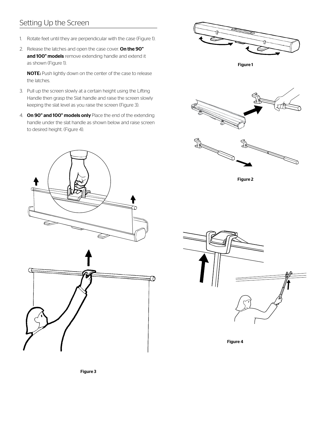# Setting Up the Screen

- 1. Rotate feet until they are perpendicular with the case (Figure 1).
- 2. Release the latches and open the case cover. On the 90" and 100" models remove extending handle and extend it as shown (Figure 1).

NOTE: Push lightly down on the center of the case to release the latches.

- 3. Pull up the screen slowly at a certain height using the Lifting Handle then grasp the Slat handle and raise the screen slowly keeping the slat level as you raise the screen (Figure 3).
- 4. On 90" and 100" models only Place the end of the extending handle under the slat handle as shown below and raise screen to desired height. (Figure 4).







Figure 2





Figure 4

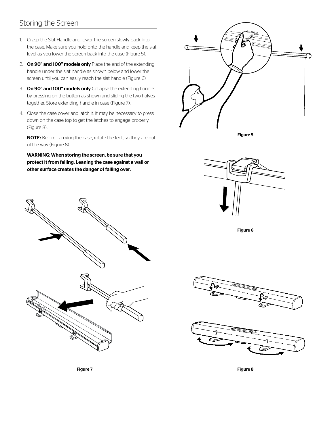### Storing the Screen

- 1. Grasp the Slat Handle and lower the screen slowly back into the case. Make sure you hold onto the handle and keep the slat level as you lower the screen back into the case (Figure 5).
- 2. On 90" and 100" models only Place the end of the extending handle under the slat handle as shown below and lower the screen until you can easily reach the slat handle (Figure 6).
- 3. On 90" and 100" models only Collapse the extending handle by pressing on the button as shown and sliding the two halves together. Store extending handle in case (Figure 7).
- 4. Close the case cover and latch it. It may be necessary to press down on the case top to get the latches to engage properly (Figure 8)..

NOTE: Before carrying the case, rotate the feet, so they are out of the way (Figure 8).

WARNING: When storing the screen, be sure that you protect it from falling. Leaning the case against a wall or other surface creates the danger of falling over.









Figure 6



Figure 7 Figure 8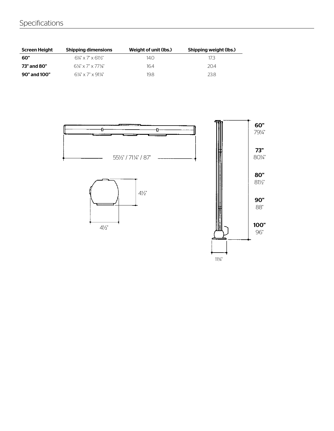# Specifications

| Screen Height | <b>Shipping dimensions</b>                         | Weight of unit (lbs.) | Shipping weight (lbs.) |
|---------------|----------------------------------------------------|-----------------------|------------------------|
| 60"           | $6\frac{1}{8}$ x 7" x 611/ <sub>2</sub> "          | 14.O                  | 173                    |
| 73" and 80"   | $6\frac{1}{4} \times 7$ " $\times 77\frac{1}{8}$ " | 16.4                  | 204                    |
| 90" and 100"  | $6\frac{1}{4}$ x 7" x 91¼"                         | 19.8                  | 238                    |